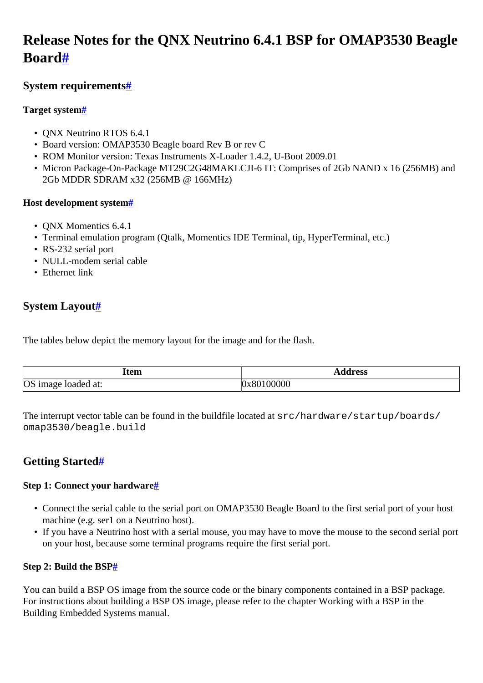# <span id="page-0-0"></span>**Release Notes for the QNX Neutrino 6.4.1 BSP for OMAP3530 Beagle Boar[d#](#page-0-0)**

# <span id="page-0-1"></span>**System requirement[s#](#page-0-1)**

# <span id="page-0-2"></span>**Target system[#](#page-0-2)**

- QNX Neutrino RTOS 6.4.1
- Board version: OMAP3530 Beagle board Rev B or rev C
- ROM Monitor version: Texas Instruments X-Loader 1.4.2, U-Boot 2009.01
- Micron Package-On-Package MT29C2G48MAKLCJI-6 IT: Comprises of 2Gb NAND x 16 (256MB) and 2Gb MDDR SDRAM x32 (256MB @ 166MHz)

# <span id="page-0-3"></span>**Host development syste[m#](#page-0-3)**

- QNX Momentics 6.4.1
- Terminal emulation program (Otalk, Momentics IDE Terminal, tip, HyperTerminal, etc.)
- RS-232 serial port
- NULL-modem serial cable
- Ethernet link

# <span id="page-0-4"></span>**System Layout[#](#page-0-4)**

The tables below depict the memory layout for the image and for the flash.

| Item                      | ddress |
|---------------------------|--------|
| OS<br>loaded at:<br>image | 00000  |

The interrupt vector table can be found in the buildfile located at src/hardware/startup/boards/ omap3530/beagle.build

# <span id="page-0-5"></span>**Getting Started[#](#page-0-5)**

# <span id="page-0-6"></span>**Step 1: Connect your hardware[#](#page-0-6)**

- Connect the serial cable to the serial port on OMAP3530 Beagle Board to the first serial port of your host machine (e.g. ser1 on a Neutrino host).
- If you have a Neutrino host with a serial mouse, you may have to move the mouse to the second serial port on your host, because some terminal programs require the first serial port.

# <span id="page-0-7"></span>**Step 2: Build the BS[P#](#page-0-7)**

You can build a BSP OS image from the source code or the binary components contained in a BSP package. For instructions about building a BSP OS image, please refer to the chapter Working with a BSP in the Building Embedded Systems manual.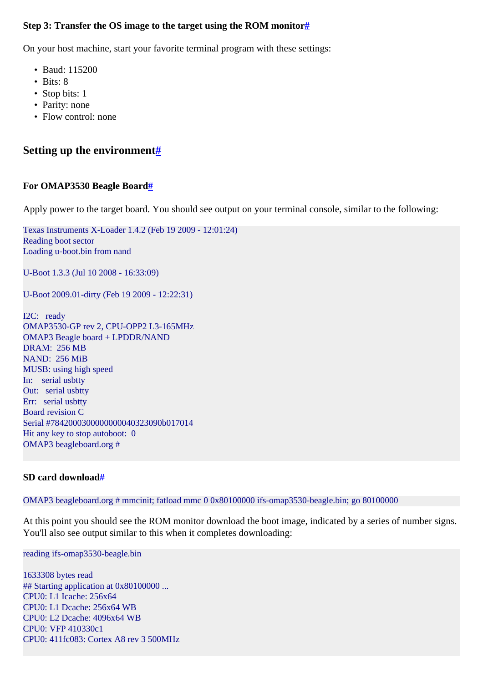#### <span id="page-1-0"></span>**Step 3: Transfer the OS image to the target using the ROM monitor[#](#page-1-0)**

On your host machine, start your favorite terminal program with these settings:

- Baud: 115200
- Bits: 8
- Stop bits: 1
- Parity: none
- Flow control: none

# <span id="page-1-1"></span>**Setting up the environment[#](#page-1-1)**

#### <span id="page-1-2"></span>**For OMAP3530 Beagle Board[#](#page-1-2)**

Apply power to the target board. You should see output on your terminal console, similar to the following:

Texas Instruments X-Loader 1.4.2 (Feb 19 2009 - 12:01:24) Reading boot sector Loading u-boot.bin from nand

U-Boot 1.3.3 (Jul 10 2008 - 16:33:09)

U-Boot 2009.01-dirty (Feb 19 2009 - 12:22:31)

I2C: ready OMAP3530-GP rev 2, CPU-OPP2 L3-165MHz OMAP3 Beagle board + LPDDR/NAND DRAM: 256 MB NAND: 256 MiB MUSB: using high speed In: serial usbtty Out: serial usbtty Err: serial usbtty Board revision C Serial #7842000300000000040323090b017014 Hit any key to stop autoboot: 0 OMAP3 beagleboard.org #

#### <span id="page-1-3"></span>**SD card downloa[d#](#page-1-3)**

OMAP3 beagleboard.org # mmcinit; fatload mmc 0 0x80100000 ifs-omap3530-beagle.bin; go 80100000

At this point you should see the ROM monitor download the boot image, indicated by a series of number signs. You'll also see output similar to this when it completes downloading:

reading ifs-omap3530-beagle.bin

1633308 bytes read ## Starting application at 0x80100000 ... CPU0: L1 Icache: 256x64 CPU0: L1 Dcache: 256x64 WB CPU0: L2 Dcache: 4096x64 WB CPU0: VFP 410330c1 CPU0: 411fc083: Cortex A8 rev 3 500MHz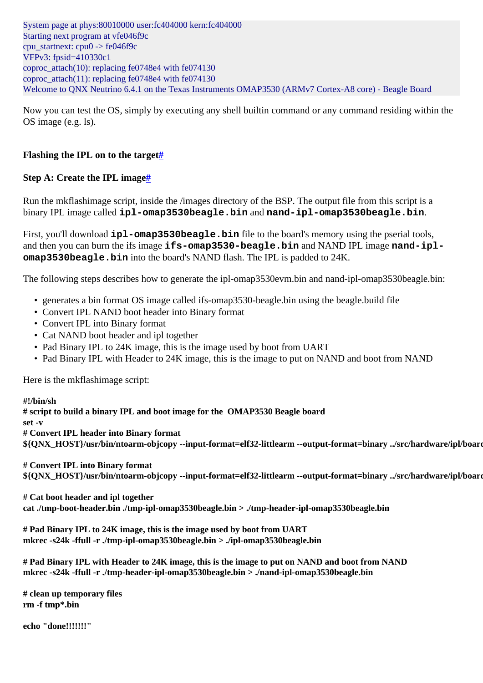System page at phys:80010000 user:fc404000 kern:fc404000 Starting next program at vfe046f9c cpu startnext:  $cpu0 \rightarrow fe046f9c$ VFPv3: fpsid=410330c1 coproc\_attach $(10)$ : replacing fe0748e4 with fe074130 coproc\_attach $(11)$ : replacing fe0748e4 with fe074130 Welcome to QNX Neutrino 6.4.1 on the Texas Instruments OMAP3530 (ARMv7 Cortex-A8 core) - Beagle Board

Now you can test the OS, simply by executing any shell builtin command or any command residing within the OS image (e.g. ls).

### <span id="page-2-0"></span>**Flashing the IPL on to the target[#](#page-2-0)**

#### <span id="page-2-1"></span>**Step A: Create the IPL image[#](#page-2-1)**

Run the mkflashimage script, inside the /images directory of the BSP. The output file from this script is a binary IPL image called **ipl-omap3530beagle.bin** and **nand-ipl-omap3530beagle.bin**.

First, you'll download **ipl-omap3530beagle.bin** file to the board's memory using the pserial tools, and then you can burn the ifs image **ifs-omap3530-beagle.bin** and NAND IPL image **nand-iplomap3530beagle.bin** into the board's NAND flash. The IPL is padded to 24K.

The following steps describes how to generate the ipl-omap3530evm.bin and nand-ipl-omap3530beagle.bin:

- generates a bin format OS image called ifs-omap3530-beagle.bin using the beagle.build file
- Convert IPL NAND boot header into Binary format
- Convert IPL into Binary format
- Cat NAND boot header and ipl together
- Pad Binary IPL to 24K image, this is the image used by boot from UART
- Pad Binary IPL with Header to 24K image, this is the image to put on NAND and boot from NAND

Here is the mkflashimage script:

#### **#!/bin/sh**

**# script to build a binary IPL and boot image for the OMAP3530 Beagle board**

**set -v**

**# Convert IPL header into Binary format**

 $\gamma$ QNX\_HOST}/usr/bin/ntoarm-objcopy --input-format=elf32-littlearm --output-format=binary ../src/hardware/ipl/board

**# Convert IPL into Binary format**

 $\gamma$ QNX\_HOST}/usr/bin/ntoarm-objcopy --input-format=elf32-littlearm --output-format=binary ../src/hardware/ipl/board

**# Cat boot header and ipl together cat ./tmp-boot-header.bin ./tmp-ipl-omap3530beagle.bin > ./tmp-header-ipl-omap3530beagle.bin**

**# Pad Binary IPL to 24K image, this is the image used by boot from UART mkrec -s24k -ffull -r ./tmp-ipl-omap3530beagle.bin > ./ipl-omap3530beagle.bin**

**# Pad Binary IPL with Header to 24K image, this is the image to put on NAND and boot from NAND mkrec -s24k -ffull -r ./tmp-header-ipl-omap3530beagle.bin > ./nand-ipl-omap3530beagle.bin**

**# clean up temporary files rm -f tmp\*.bin**

**echo "done!!!!!!!"**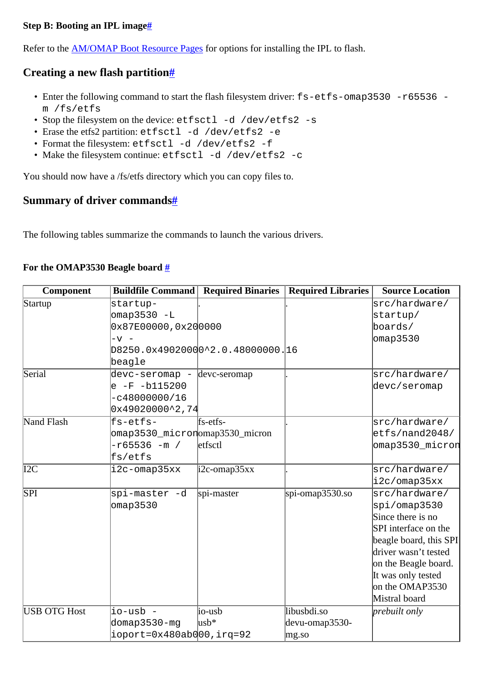#### <span id="page-3-0"></span>**Step B: Booting an IPL imag[e#](#page-3-0)**

Refer to the [AM/OMAP Boot Resource Pages](http://community.qnx.com/sf/wiki/do/viewPage/projects.bsp/wiki/AM_OMAP_boot_resources) for options for installing the IPL to flash.

# <span id="page-3-1"></span>**Creating a new flash partition[#](#page-3-1)**

- Enter the following command to start the flash filesystem driver:  $fs-\text{etfs}-\text{omap3530}-r65536$  m /fs/etfs
- Stop the filesystem on the device: etfsctl -d /dev/etfs2 -s
- Erase the etfs2 partition: etfsctl -d /dev/etfs2 -e
- Format the filesystem: etfsctl -d /dev/etfs2 -f
- Make the filesystem continue: etfsctl -d /dev/etfs2 -c

You should now have a /fs/etfs directory which you can copy files to.

### <span id="page-3-2"></span>**Summary of driver command[s#](#page-3-2)**

The following tables summarize the commands to launch the various drivers.

### <span id="page-3-3"></span>**For the OMAP3530 Beagle board [#](#page-3-3)**

| <b>Component</b>    |                                                         |                       | <b>Buildfile Command   Required Binaries   Required Libraries</b> | <b>Source Location</b> |
|---------------------|---------------------------------------------------------|-----------------------|-------------------------------------------------------------------|------------------------|
| Startup             | startup-                                                |                       |                                                                   | src/hardware/          |
|                     | omap3530 -L                                             |                       |                                                                   | startup/               |
|                     | 0x87E00000, 0x200000                                    |                       |                                                                   | boards/                |
|                     | $- v -$                                                 |                       |                                                                   | omap3530               |
|                     | D8250.0x49020000^2.0.48000000.16                        |                       |                                                                   |                        |
|                     | beagle                                                  |                       |                                                                   |                        |
| Serial              | $\frac{1}{2}$ devc-seromap - $\frac{1}{2}$ devc-seromap |                       |                                                                   | src/hardware/          |
|                     | $e$ -F -b115200                                         |                       |                                                                   | devc/seromap           |
|                     | $-c48000000/16$                                         |                       |                                                                   |                        |
|                     | $0x49020000^2,74$                                       |                       |                                                                   |                        |
| <b>Nand Flash</b>   | $f$ s-etfs-                                             | fs-etfs-              |                                                                   | src/hardware/          |
|                     | omap3530_micronomap3530_micron                          |                       |                                                                   | etfs/nand2048/         |
|                     | -r65536 -m /                                            | etfsctl               |                                                                   | omap3530_micron        |
|                     | fs/etfs                                                 |                       |                                                                   |                        |
| I2C                 | i2c-omap35xx                                            | $\text{i2c-omap35xx}$ |                                                                   | src/hardware/          |
|                     |                                                         |                       |                                                                   | i2c/omap35xx           |
| SPI                 | spi-master -d                                           | spi-master            | spi-omap $3530$ .so                                               | src/hardware/          |
|                     | $\sigma$ map3530                                        |                       |                                                                   | spi/omap3530           |
|                     |                                                         |                       |                                                                   | Since there is no      |
|                     |                                                         |                       |                                                                   | SPI interface on the   |
|                     |                                                         |                       |                                                                   | beagle board, this SPI |
|                     |                                                         |                       |                                                                   | driver wasn't tested   |
|                     |                                                         |                       |                                                                   | on the Beagle board.   |
|                     |                                                         |                       |                                                                   | It was only tested     |
|                     |                                                         |                       |                                                                   | on the OMAP3530        |
|                     |                                                         |                       |                                                                   | Mistral board          |
| <b>USB OTG Host</b> | io-usb -                                                | io-usb                | libusbdi.so                                                       | prebuilt only          |
|                     | domap3530-mg                                            | $\text{usb*}$         | devu-omap3530-                                                    |                        |
|                     | ioport=0x480ab000,irq=92                                |                       | mg.so                                                             |                        |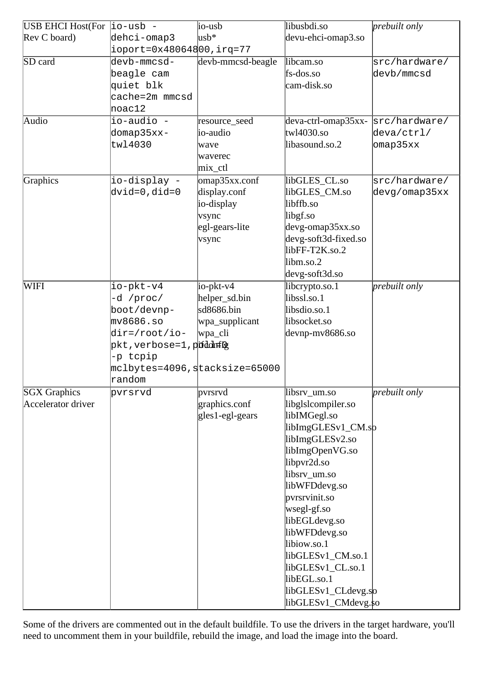| USB EHCI Host(For $ io-usb -$ |                                        | io-usb                  | libusbdi.so                | prebuilt only |
|-------------------------------|----------------------------------------|-------------------------|----------------------------|---------------|
| Rev C board)                  | dehci-omap3                            | $\text{usb*}$           | devu-ehci-omap3.so         |               |
|                               | $iport = 0x48064800, irq = 77$         |                         |                            |               |
| SD card                       | devb-mmcsd-                            | devb-mmcsd-beagle       | libcam.so                  | src/hardware/ |
|                               | beagle cam                             |                         | fs-dos.so                  | devb/mmcsd    |
|                               | quiet blk                              |                         | cam-disk.so                |               |
|                               | cache=2m mmcsd                         |                         |                            |               |
|                               | $\text{noac12}$                        |                         |                            |               |
| Audio                         | io-audio -                             | resource_seed           | $deva-ctrl$ - $omap35xx$ - | src/hardware/ |
|                               | domap35xx-                             | io-audio                | twl4030.so                 | deva/ctrl/    |
|                               | tw14030                                | wave                    | libasound.so.2             | omap35xx      |
|                               |                                        | waverec                 |                            |               |
|                               |                                        | mix_ctl                 |                            |               |
| Graphics                      | io-display -                           | $\alpha$ omap 35xx.conf | libGLES_CL.so              | src/hardware/ |
|                               | dvid=0,did=0                           | display.conf            | libGLES CM.so              | devg/omap35xx |
|                               |                                        | io-display              | libffb.so                  |               |
|                               |                                        | v <sub>sync</sub>       | libgf.so                   |               |
|                               |                                        | egl-gears-lite          | $\text{devg-omap35xx}$ .so |               |
|                               |                                        | vsync                   | devg-soft3d-fixed.so       |               |
|                               |                                        |                         | libFF-T2K.so.2             |               |
|                               |                                        |                         | libm.so.2                  |               |
|                               |                                        |                         | devg-soft3d.so             |               |
| WIFI                          | io-pkt-v4                              | $io-pkt-v4$             | libcrypto.so.1             | prebuilt only |
|                               | -d /proc/                              | helper_sd.bin           | libssl.so.1                |               |
|                               | boot/devnp-                            | sd8686.bin              | libsdio.so.1               |               |
|                               | mv8686.s                               | wpa_supplicant          | libsocket.so               |               |
|                               | $\text{dir} = \text{root}/\text{io}$ - | wpa_cli                 | devnp-mv8686.so            |               |
|                               | pkt, verbose=1, pifddn#f¢              |                         |                            |               |
|                               | -p tcpip                               |                         |                            |               |
|                               | mclbytes=4096,stacksize=65000          |                         |                            |               |
|                               | random                                 |                         |                            |               |
| <b>SGX</b> Graphics           | pvrsrvd                                | pvrsrvd                 | libsrv_um.so               | prebuilt only |
| Accelerator driver            |                                        | graphics.conf           | libglslcompiler.so         |               |
|                               |                                        | $gles1-eg1-gears$       | libIMGegl.so               |               |
|                               |                                        |                         | libImgGLESv1_CM.sp         |               |
|                               |                                        |                         | libImgGLESv2.so            |               |
|                               |                                        |                         | libImgOpenVG.so            |               |
|                               |                                        |                         | libpvr2d.so                |               |
|                               |                                        |                         | libsrv_um.so               |               |
|                               |                                        |                         | libWFDdevg.so              |               |
|                               |                                        |                         | pvrsrvinit.so              |               |
|                               |                                        |                         | $wseg-gf$ .so              |               |
|                               |                                        |                         | libEGLdevg.so              |               |
|                               |                                        |                         | libWFDdevg.so              |               |
|                               |                                        |                         | libiow.so.1                |               |
|                               |                                        |                         | libGLESv1_CM.so.1          |               |
|                               |                                        |                         | libGLESv1_CL.so.1          |               |
|                               |                                        |                         | libEGL.so.1                |               |
|                               |                                        |                         | libGLESv1_CLdevg.so        |               |
|                               |                                        |                         | libGLESv1_CMdevg.\$0       |               |

Some of the drivers are commented out in the default buildfile. To use the drivers in the target hardware, you'll need to uncomment them in your buildfile, rebuild the image, and load the image into the board.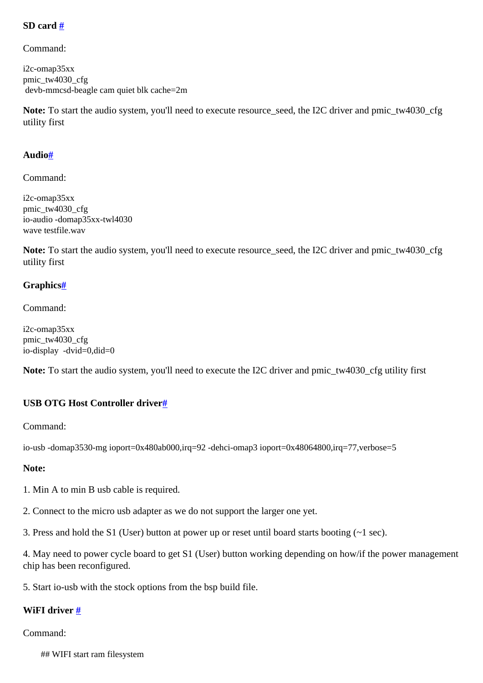#### <span id="page-5-0"></span>**SD card [#](#page-5-0)**

Command:

i2c-omap35xx pmic\_tw4030\_cfg devb-mmcsd-beagle cam quiet blk cache=2m

**Note:** To start the audio system, you'll need to execute resource\_seed, the I2C driver and pmic\_tw4030\_cfg utility first

#### <span id="page-5-1"></span>**Audio[#](#page-5-1)**

Command:

i2c-omap35xx pmic\_tw4030\_cfg io-audio -domap35xx-twl4030 wave testfile.wav

**Note:** To start the audio system, you'll need to execute resource\_seed, the I2C driver and pmic\_tw4030\_cfg utility first

#### <span id="page-5-2"></span>**Graphics[#](#page-5-2)**

Command:

i2c-omap35xx pmic\_tw4030\_cfg io-display -dvid=0,did=0

**Note:** To start the audio system, you'll need to execute the I2C driver and pmic\_tw4030\_cfg utility first

#### <span id="page-5-3"></span>**USB OTG Host Controller drive[r#](#page-5-3)**

Command:

```
io-usb -domap3530-mg ioport=0x480ab000,irq=92 -dehci-omap3 ioport=0x48064800,irq=77,verbose=5
```
# **Note:**

1. Min A to min B usb cable is required.

2. Connect to the micro usb adapter as we do not support the larger one yet.

3. Press and hold the S1 (User) button at power up or reset until board starts booting (~1 sec).

4. May need to power cycle board to get S1 (User) button working depending on how/if the power management chip has been reconfigured.

5. Start io-usb with the stock options from the bsp build file.

# <span id="page-5-4"></span>**WiFI driver [#](#page-5-4)**

Command:

## WIFI start ram filesystem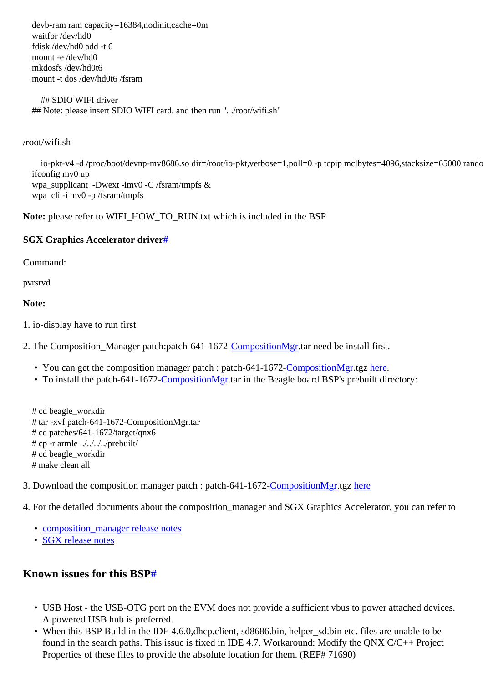devb-ram ram capacity=16384,nodinit,cache=0m waitfor /dev/hd0 fdisk /dev/hd0 add -t 6 mount -e /dev/hd0 mkdosfs /dev/hd0t6 mount -t dos /dev/hd0t6 /fsram

 ## SDIO WIFI driver ## Note: please insert SDIO WIFI card. and then run ". ./root/wifi.sh"

/root/wifi.sh

io-pkt-v4 -d /proc/boot/devnp-mv8686.so dir=/root/io-pkt,verbose=1,poll=0 -p tcpip mclbytes=4096,stacksize=65000 rando ifconfig mv0 up wpa\_supplicant -Dwext -imv0 -C /fsram/tmpfs & wpa\_cli -i mv0 -p /fsram/tmpfs

**Note:** please refer to WIFI\_HOW\_TO\_RUN.txt which is included in the BSP

#### <span id="page-6-0"></span>**SGX Graphics Accelerator drive[r#](#page-6-0)**

Command:

pvrsrvd

#### **Note:**

1. io-display have to run first

2. The Composition\_Manager patch:patch-641-1672-[CompositionMgr.](http://community.qnx.com/sf/wiki/do/createPage/projects.bsp/wiki?pageName=CompositionMgr&referrerPageName=Nto641TiOmap3530Beagle1.0.0Releasenotes)tar need be install first.

- You can get the composition manager patch : patch-641-1672-[CompositionMgr.](http://community.qnx.com/sf/wiki/do/createPage/projects.bsp/wiki?pageName=CompositionMgr&referrerPageName=Nto641TiOmap3530Beagle1.0.0Releasenotes)tgz [here.](http://community.qnx.com/sf/frs/do/viewRelease/projects.graphics/frs.sgx_drivers.1_3_13_1971)
- To install the patch-641-1672-[CompositionMgr](http://community.qnx.com/sf/wiki/do/createPage/projects.bsp/wiki?pageName=CompositionMgr&referrerPageName=Nto641TiOmap3530Beagle1.0.0Releasenotes).tar in the Beagle board BSP's prebuilt directory:

 # cd beagle\_workdir # tar -xvf patch-641-1672-CompositionMgr.tar # cd patches/641-1672/target/qnx6 # cp -r armle ../../../../prebuilt/ # cd beagle\_workdir # make clean all

3. Download the composition manager patch : patch-641-1672-[CompositionMgr.](http://community.qnx.com/sf/wiki/do/createPage/projects.bsp/wiki?pageName=CompositionMgr&referrerPageName=Nto641TiOmap3530Beagle1.0.0Releasenotes)tgz [here](http://community.qnx.com/sf/frs/do/viewRelease/projects.graphics/frs.sgx_drivers.1_3_13_1971)

4. For the detailed documents about the composition\_manager and SGX Graphics Accelerator, you can refer to

- [composition\\_manager release notes](http://community.qnx.com/sf/frs/do/downloadFile/projects.graphics/frs.sgx_drivers.1_3_13_1971/frs10013?dl=1&logged=1)
- [SGX release notes](http://community.qnx.com/sf/frs/do/downloadFile/projects.graphics/frs.sgx_drivers.1_3_13_1971/frs10022?dl=1&logged=1)

# <span id="page-6-1"></span>**Known issues for this BSP[#](#page-6-1)**

- USB Host the USB-OTG port on the EVM does not provide a sufficient vbus to power attached devices. A powered USB hub is preferred.
- When this BSP Build in the IDE 4.6.0,dhcp.client, sd8686.bin, helper\_sd.bin etc. files are unable to be found in the search paths. This issue is fixed in IDE 4.7. Workaround: Modify the QNX C/C++ Project Properties of these files to provide the absolute location for them. (REF# 71690)